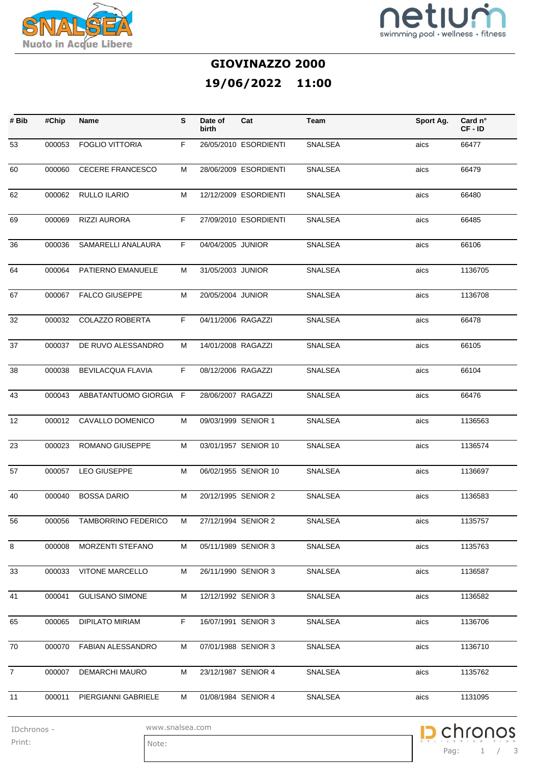



## **GIOVINAZZO 2000 19/06/2022 11:00**

| # Bib             | #Chip  | <b>Name</b>                                      | S  | Date of<br>birth    | Cat                   | Team           | Sport Ag. | Card n°<br>CF-ID |
|-------------------|--------|--------------------------------------------------|----|---------------------|-----------------------|----------------|-----------|------------------|
| 53                | 000053 | <b>FOGLIO VITTORIA</b>                           | F  |                     | 26/05/2010 ESORDIENTI | SNALSEA        | aics      | 66477            |
| 60                | 000060 | <b>CECERE FRANCESCO</b>                          | м  |                     | 28/06/2009 ESORDIENTI | SNALSEA        | aics      | 66479            |
| 62                | 000062 | RULLO ILARIO                                     | м  |                     | 12/12/2009 ESORDIENTI | SNALSEA        | aics      | 66480            |
| 69                | 000069 | RIZZI AURORA                                     | F. |                     | 27/09/2010 ESORDIENTI | <b>SNALSEA</b> | aics      | 66485            |
| 36                | 000036 | SAMARELLI ANALAURA                               | F. | 04/04/2005 JUNIOR   |                       | SNALSEA        | aics      | 66106            |
| 64                | 000064 | PATIERNO EMANUELE                                | м  | 31/05/2003 JUNIOR   |                       | SNALSEA        | aics      | 1136705          |
| 67                | 000067 | <b>FALCO GIUSEPPE</b>                            | м  | 20/05/2004 JUNIOR   |                       | <b>SNALSEA</b> | aics      | 1136708          |
| 32                | 000032 | <b>COLAZZO ROBERTA</b>                           | F. | 04/11/2006 RAGAZZI  |                       | SNALSEA        | aics      | 66478            |
| 37                | 000037 | DE RUVO ALESSANDRO                               | м  | 14/01/2008 RAGAZZI  |                       | <b>SNALSEA</b> | aics      | 66105            |
| 38                | 000038 | <b>BEVILACQUA FLAVIA</b>                         | F. | 08/12/2006 RAGAZZI  |                       | <b>SNALSEA</b> | aics      | 66104            |
| 43                | 000043 | ABBATANTUOMO GIORGIA F                           |    | 28/06/2007 RAGAZZI  |                       | SNALSEA        | aics      | 66476            |
| $12 \overline{ }$ |        | 000012 CAVALLO DOMENICO                          | м  | 09/03/1999 SENIOR 1 |                       | SNALSEA        | aics      | 1136563          |
| 23                | 000023 | <b>ROMANO GIUSEPPE</b>                           | м  |                     | 03/01/1957 SENIOR 10  | SNALSEA        | aics      | 1136574          |
| 57                | 000057 | LEO GIUSEPPE                                     | м  |                     | 06/02/1955 SENIOR 10  | SNALSEA        | aics      | 1136697          |
| 40                | 000040 | <b>BOSSA DARIO</b>                               | м  | 20/12/1995 SENIOR 2 |                       | SNALSEA        | aics      | 1136583          |
| $\overline{56}$   |        | 000056 TAMBORRINO FEDERICO M 27/12/1994 SENIOR 2 |    |                     |                       | <b>SNALSEA</b> | aics      | 1135757          |
| 8                 | 000008 | MORZENTI STEFANO                                 | М  | 05/11/1989 SENIOR 3 |                       | SNALSEA        | aics      | 1135763          |
| 33                | 000033 | <b>VITONE MARCELLO</b>                           | М  | 26/11/1990 SENIOR 3 |                       | SNALSEA        | aics      | 1136587          |
| 41                | 000041 | <b>GULISANO SIMONE</b>                           | М  | 12/12/1992 SENIOR 3 |                       | SNALSEA        | aics      | 1136582          |
| 65                | 000065 | DIPILATO MIRIAM                                  | F. | 16/07/1991 SENIOR 3 |                       | SNALSEA        | aics      | 1136706          |
| 70                | 000070 | FABIAN ALESSANDRO                                | м  | 07/01/1988 SENIOR 3 |                       | SNALSEA        | aics      | 1136710          |
| $7^{\circ}$       | 000007 | <b>DEMARCHI MAURO</b>                            | М  | 23/12/1987 SENIOR 4 |                       | SNALSEA        | aics      | 1135762          |
| 11                | 000011 | PIERGIANNI GABRIELE                              | М  | 01/08/1984 SENIOR 4 |                       | SNALSEA        | aics      | 1131095          |

p chronos Pag: 1 / 3

Print: Note:

IDchronos - www.snalsea.com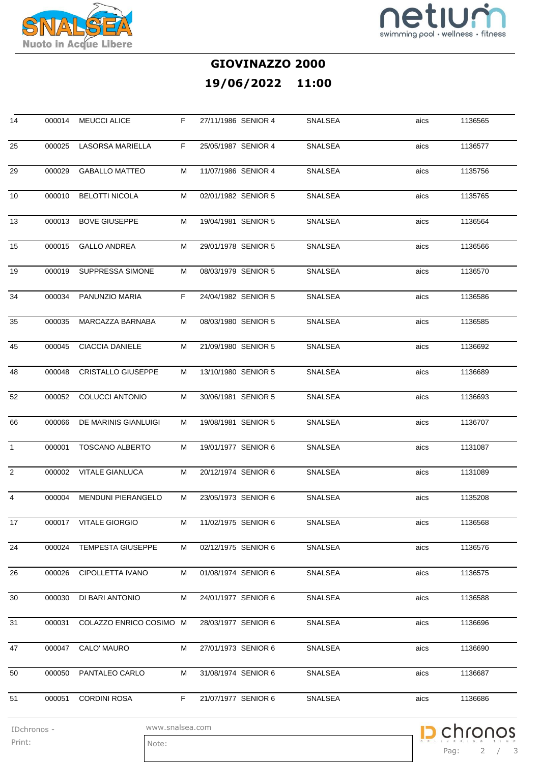



Pag: 2 / 3

chronos

p

## **GIOVINAZZO 2000 19/06/2022 11:00**

| 14             | 000014 | <b>MEUCCI ALICE</b>       | F. | 27/11/1986 SENIOR 4 | SNALSEA | aics | 1136565 |
|----------------|--------|---------------------------|----|---------------------|---------|------|---------|
| 25             | 000025 | <b>LASORSA MARIELLA</b>   | F. | 25/05/1987 SENIOR 4 | SNALSEA | aics | 1136577 |
| 29             | 000029 | <b>GABALLO MATTEO</b>     | М  | 11/07/1986 SENIOR 4 | SNALSEA | aics | 1135756 |
| 10             | 000010 | <b>BELOTTI NICOLA</b>     | м  | 02/01/1982 SENIOR 5 | SNALSEA | aics | 1135765 |
| 13             | 000013 | <b>BOVE GIUSEPPE</b>      | м  | 19/04/1981 SENIOR 5 | SNALSEA | aics | 1136564 |
| 15             | 000015 | <b>GALLO ANDREA</b>       | м  | 29/01/1978 SENIOR 5 | SNALSEA | aics | 1136566 |
| 19             | 000019 | SUPPRESSA SIMONE          | м  | 08/03/1979 SENIOR 5 | SNALSEA | aics | 1136570 |
| 34             | 000034 | PANUNZIO MARIA            | F  | 24/04/1982 SENIOR 5 | SNALSEA | aics | 1136586 |
| 35             | 000035 | MARCAZZA BARNABA          | м  | 08/03/1980 SENIOR 5 | SNALSEA | aics | 1136585 |
| 45             | 000045 | <b>CIACCIA DANIELE</b>    | М  | 21/09/1980 SENIOR 5 | SNALSEA | aics | 1136692 |
| 48             | 000048 | <b>CRISTALLO GIUSEPPE</b> | м  | 13/10/1980 SENIOR 5 | SNALSEA | aics | 1136689 |
| 52             | 000052 | COLUCCI ANTONIO           | м  | 30/06/1981 SENIOR 5 | SNALSEA | aics | 1136693 |
| 66             | 000066 | DE MARINIS GIANLUIGI      | м  | 19/08/1981 SENIOR 5 | SNALSEA | aics | 1136707 |
| $\mathbf{1}$   | 000001 | <b>TOSCANO ALBERTO</b>    | м  | 19/01/1977 SENIOR 6 | SNALSEA | aics | 1131087 |
| $\overline{2}$ |        | 000002 VITALE GIANLUCA    | М  | 20/12/1974 SENIOR 6 | SNALSEA | aics | 1131089 |
| 4              | 000004 | MENDUNI PIERANGELO        | м  | 23/05/1973 SENIOR 6 | SNALSEA | aics | 1135208 |
| 17             |        | 000017 VITALE GIORGIO     | M  | 11/02/1975 SENIOR 6 | SNALSEA | aics | 1136568 |
| 24             | 000024 | TEMPESTA GIUSEPPE         | М  | 02/12/1975 SENIOR 6 | SNALSEA | aics | 1136576 |
| 26             | 000026 | <b>CIPOLLETTA IVANO</b>   | М  | 01/08/1974 SENIOR 6 | SNALSEA | aics | 1136575 |
| 30             | 000030 | DI BARI ANTONIO           | М  | 24/01/1977 SENIOR 6 | SNALSEA | aics | 1136588 |
| 31             | 000031 | COLAZZO ENRICO COSIMO M   |    | 28/03/1977 SENIOR 6 | SNALSEA | aics | 1136696 |
| 47             | 000047 | CALO' MAURO               | М  | 27/01/1973 SENIOR 6 | SNALSEA | aics | 1136690 |
| 50             |        | 000050 PANTALEO CARLO     | М  | 31/08/1974 SENIOR 6 | SNALSEA | aics | 1136687 |
| 51             | 000051 | <b>CORDINI ROSA</b>       | F. | 21/07/1977 SENIOR 6 | SNALSEA | aics | 1136686 |

IDchronos - www.snalsea.com

Print: Note: